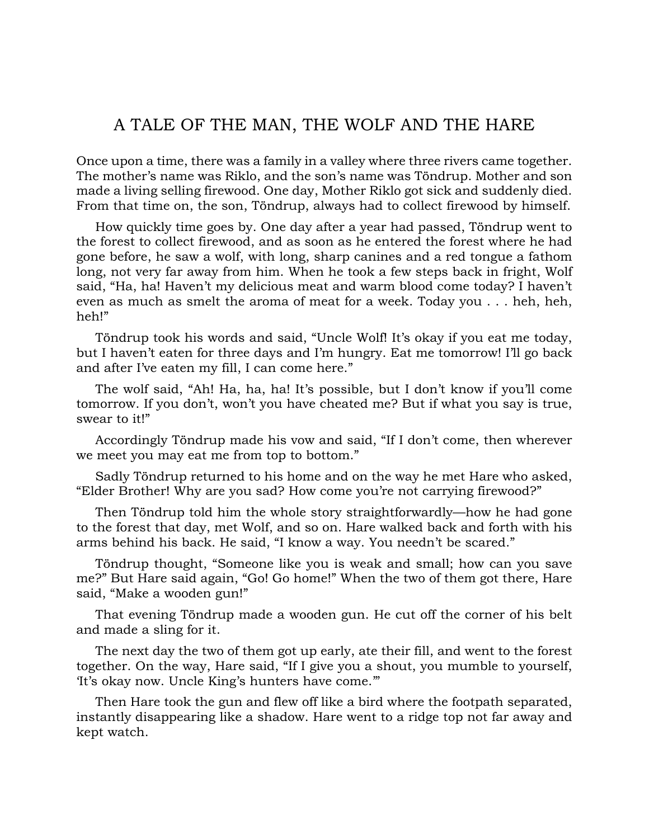## A TALE OF THE MAN, THE WOLF AND THE HARE

Once upon a time, there was a family in a valley where three rivers came together. The mother's name was Riklo, and the son's name was Töndrup. Mother and son made a living selling firewood. One day, Mother Riklo got sick and suddenly died. From that time on, the son, Töndrup, always had to collect firewood by himself.

How quickly time goes by. One day after a year had passed, Töndrup went to the forest to collect firewood, and as soon as he entered the forest where he had gone before, he saw a wolf, with long, sharp canines and a red tongue a fathom long, not very far away from him. When he took a few steps back in fright, Wolf said, "Ha, ha! Haven't my delicious meat and warm blood come today? I haven't even as much as smelt the aroma of meat for a week. Today you . . . heh, heh, heh!"

Töndrup took his words and said, "Uncle Wolf! It's okay if you eat me today, but I haven't eaten for three days and I'm hungry. Eat me tomorrow! I'll go back and after I've eaten my fill, I can come here."

The wolf said, "Ah! Ha, ha, ha! It's possible, but I don't know if you'll come tomorrow. If you don't, won't you have cheated me? But if what you say is true, swear to it!"

Accordingly Töndrup made his vow and said, "If I don't come, then wherever we meet you may eat me from top to bottom."

Sadly Töndrup returned to his home and on the way he met Hare who asked, "Elder Brother! Why are you sad? How come you're not carrying firewood?"

Then Töndrup told him the whole story straightforwardly—how he had gone to the forest that day, met Wolf, and so on. Hare walked back and forth with his arms behind his back. He said, "I know a way. You needn't be scared."

Töndrup thought, "Someone like you is weak and small; how can you save me?" But Hare said again, "Go! Go home!" When the two of them got there, Hare said, "Make a wooden gun!"

That evening Töndrup made a wooden gun. He cut off the corner of his belt and made a sling for it.

The next day the two of them got up early, ate their fill, and went to the forest together. On the way, Hare said, "If I give you a shout, you mumble to yourself, 'It's okay now. Uncle King's hunters have come.'"

Then Hare took the gun and flew off like a bird where the footpath separated, instantly disappearing like a shadow. Hare went to a ridge top not far away and kept watch.